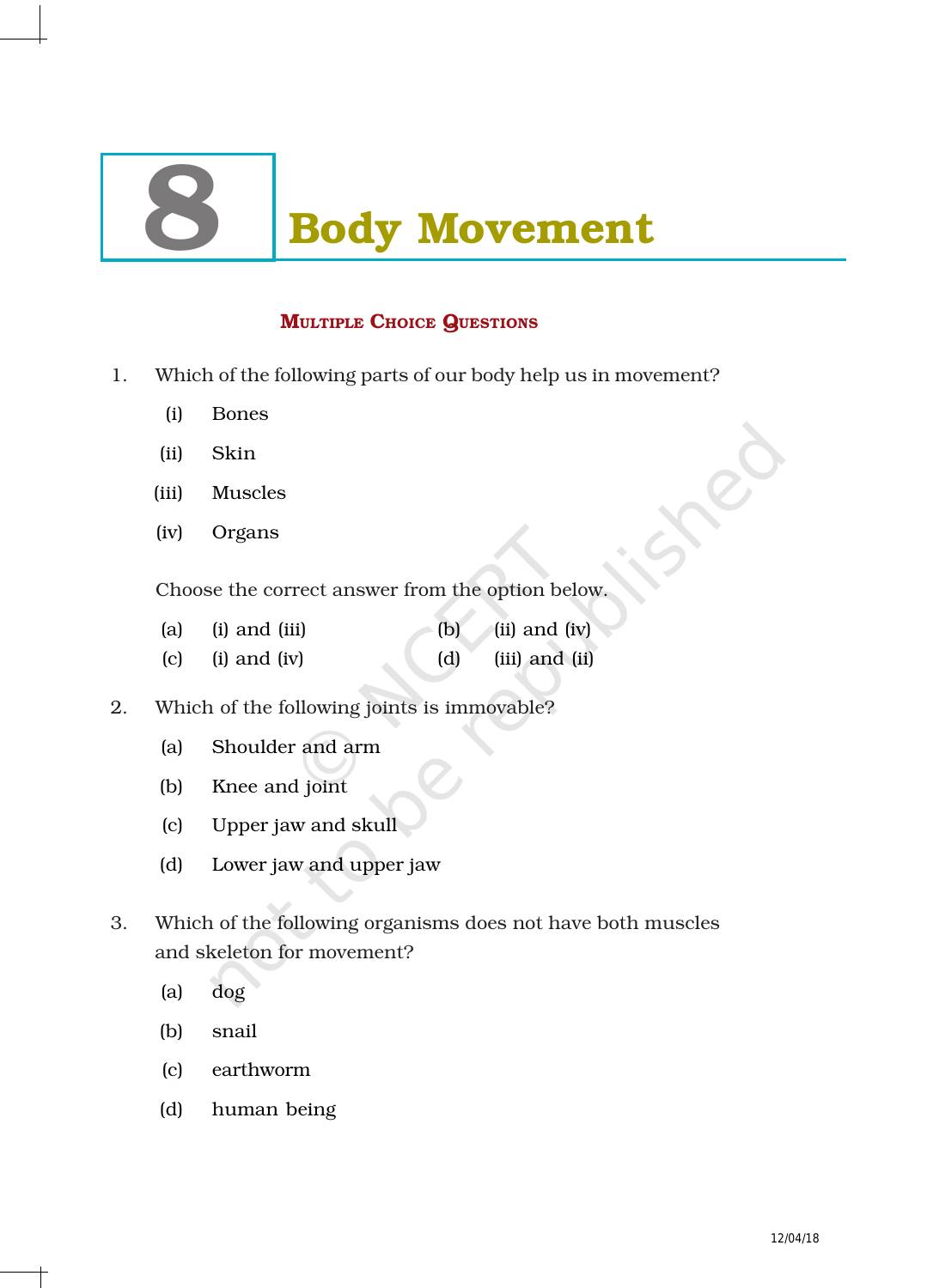# **Body Movement**

# MULTIPLE CHOICE QUESTIONS

- 1. Which of the following parts of our body help us in movement?
	- (i) Bones
	- (ii) Skin
	- (iii) Muscles
	- (iv) Organs

Choose the correct answer from the option below.

- (a) (i) and (iii)  $\qquad$  (b) (ii) and (iv) (c) (i) and (iv) (d) (iii) and (ii)
- 2. Which of the following joints is immovable?
	- (a) Shoulder and arm
	- (b) Knee and joint
	- (c) Upper jaw and skull
	- (d) Lower jaw and upper jaw
- 3. Which of the following organisms does not have both muscles and skeleton for movement?
	- (a) dog
	- (b) snail
	- (c) earthworm
	- (d) human being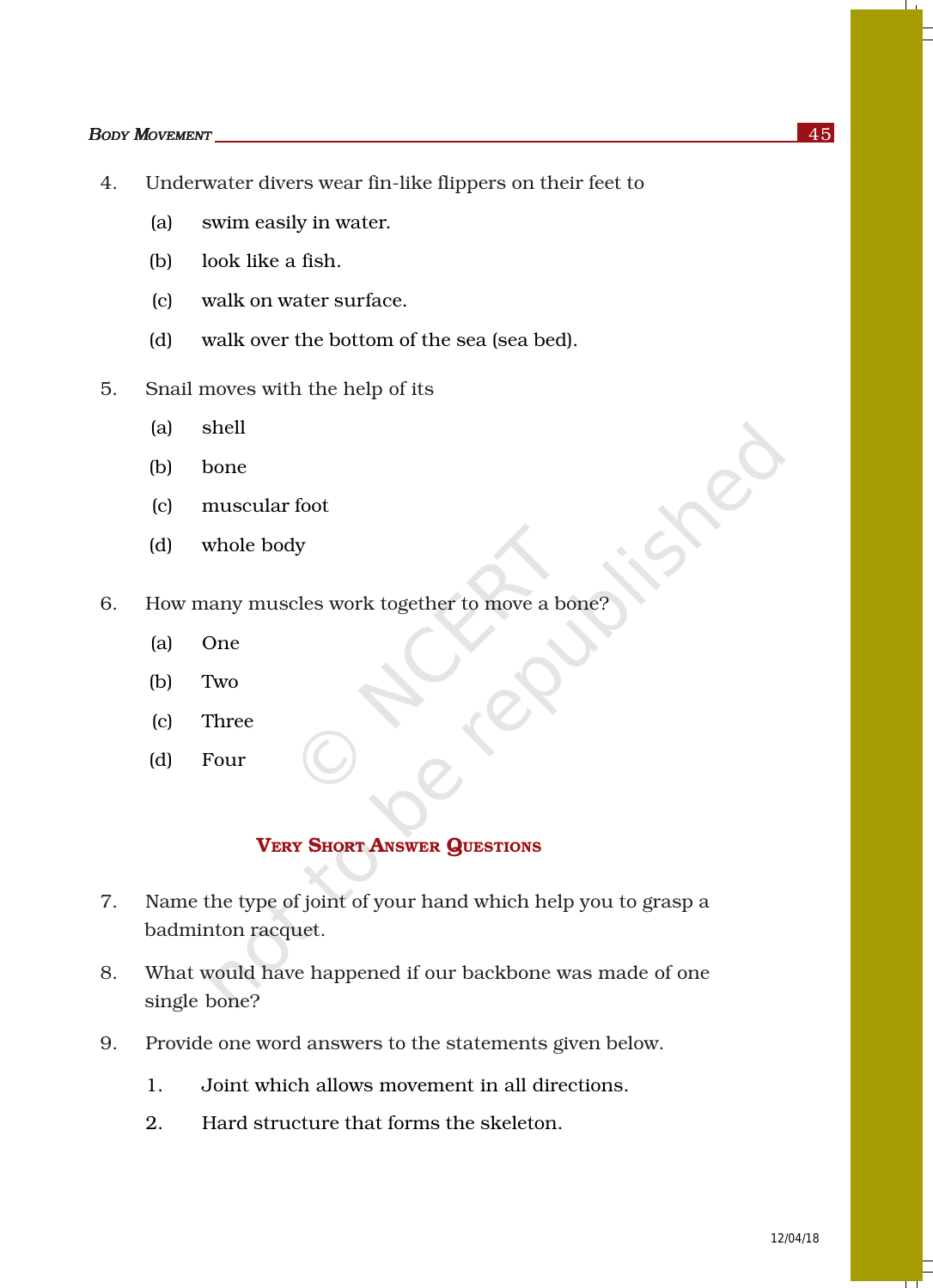#### *BODY MOVEMENT* 45

- 4. Underwater divers wear fin-like flippers on their feet to
	- (a) swim easily in water.
	- (b) look like a fish.
	- (c) walk on water surface.
	- (d) walk over the bottom of the sea (sea bed).
- 5. Snail moves with the help of its
	- (a) shell
	- (b) bone
	- (c) muscular foot
	- (d) whole body
- 6. How many muscles work together to move a bone?
	- (a) One
	- (b) Two
	- (c) Three
	- (d) Four

## VERY SHORT ANSWER QUESTIONS

- 7. Name the type of joint of your hand which help you to grasp a badminton racquet.
- 8. What would have happened if our backbone was made of one single bone?
- 9. Provide one word answers to the statements given below.
	- 1. Joint which allows movement in all directions.
	- 2. Hard structure that forms the skeleton.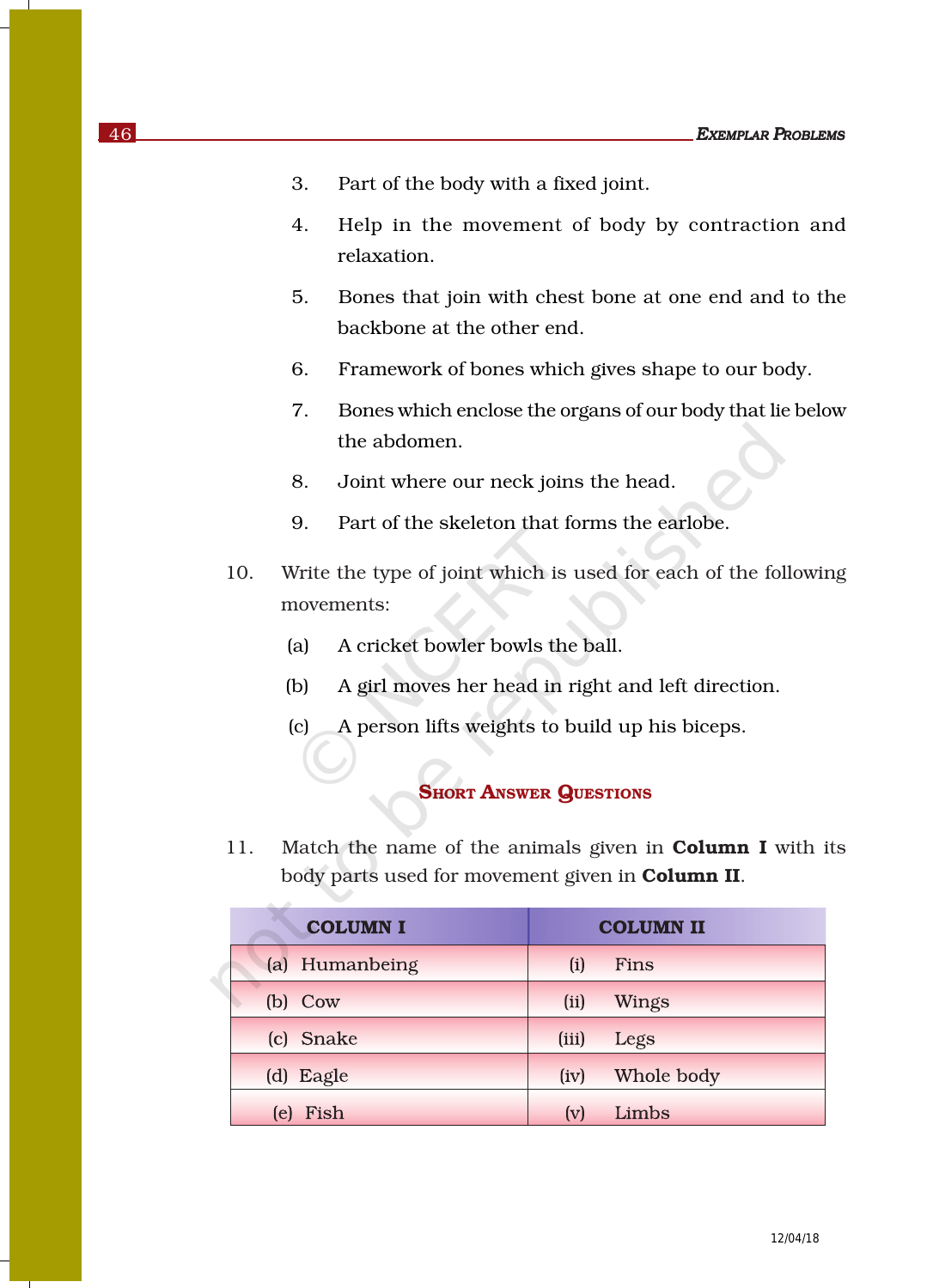- 3. Part of the body with a fixed joint.
- 4. Help in the movement of body by contraction and relaxation.
- 5. Bones that join with chest bone at one end and to the backbone at the other end.
- 6. Framework of bones which gives shape to our body.
- 7. Bones which enclose the organs of our body that lie below the abdomen.
- 8. Joint where our neck joins the head.
- 9. Part of the skeleton that forms the earlobe.
- 10. Write the type of joint which is used for each of the following movements:
	- (a) A cricket bowler bowls the ball.
	- (b) A girl moves her head in right and left direction.
	- (c) A person lifts weights to build up his biceps.

#### **SHORT ANSWER QUESTIONS**

11. Match the name of the animals given in **Column I** with its body parts used for movement given in **Column II**.

| <b>COLUMN I</b> | <b>COLUMN II</b> |            |  |
|-----------------|------------------|------------|--|
| (a) Humanbeing  | (i)              | Fins       |  |
| $(b)$ Cow       | (ii)             | Wings      |  |
| (c) Snake       | (iii)            | Legs       |  |
| (d) Eagle       | (iv)             | Whole body |  |
| Fish<br>(e)     | (v)              | Limbs      |  |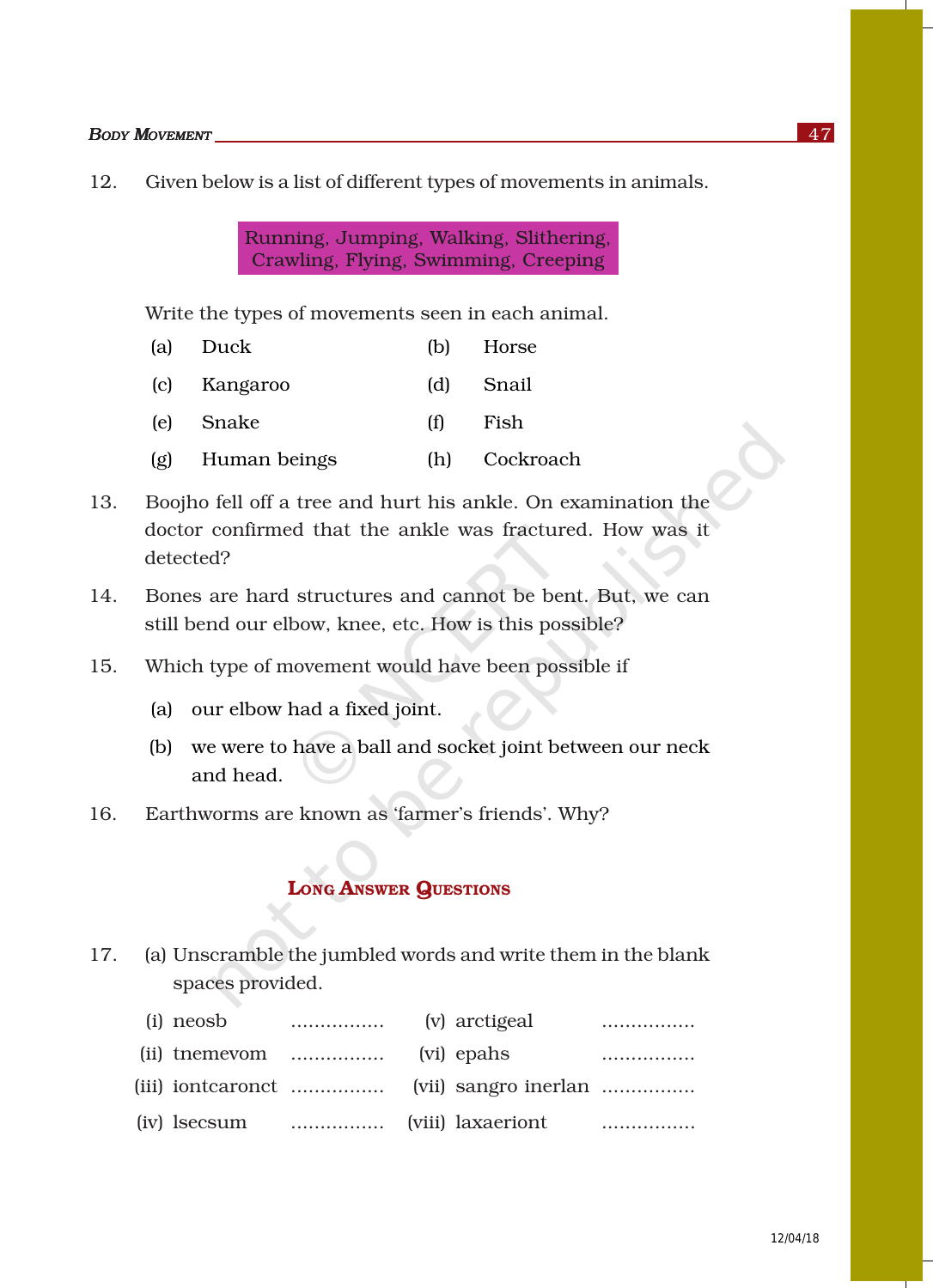12. Given below is a list of different types of movements in animals.

Running, Jumping, Walking, Slithering, Crawling, Flying, Swimming, Creeping

Write the types of movements seen in each animal.

| (a) Duck         |     | (b) Horse |
|------------------|-----|-----------|
| (c) Kangaroo     |     | (d) Snail |
| (e) Snake        | (f) | Fish      |
| (g) Human beings | (h) | Cockroach |

- 13. Boojho fell off a tree and hurt his ankle. On examination the doctor confirmed that the ankle was fractured. How was it detected?
- 14. Bones are hard structures and cannot be bent. But, we can still bend our elbow, knee, etc. How is this possible?
- 15. Which type of movement would have been possible if
	- (a) our elbow had a fixed joint.
	- (b) we were to have a ball and socket joint between our neck and head.
- 16. Earthworms are known as 'farmer's friends'. Why?

### LONG ANSWER QUESTIONS

17. (a) Unscramble the jumbled words and write them in the blank spaces provided.

| (i) neosb                                             | $\dots\dots\dots\dots\dots\dots$ (v) arctigeal |  | . |
|-------------------------------------------------------|------------------------------------------------|--|---|
| (ii) the mevom $\dots\dots\dots\dots\dots$ (vi) epahs |                                                |  |   |
|                                                       |                                                |  |   |
|                                                       |                                                |  |   |